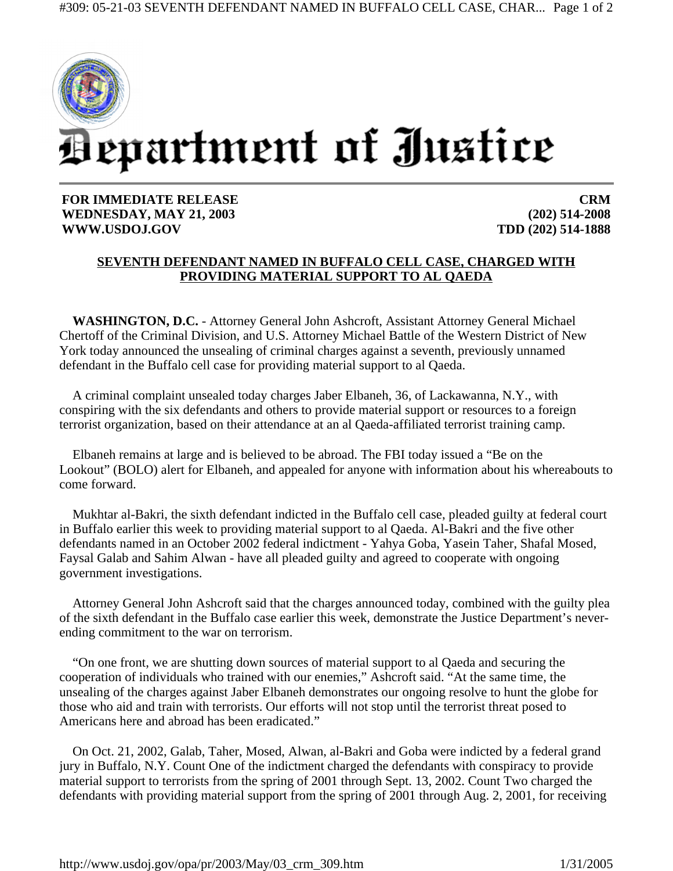

**FOR IMMEDIATE RELEASE WEDNESDAY, MAY 21, 2003 WWW.USDOJ.GOV** 

**CRM (202) 514-2008 TDD (202) 514-1888**

## **SEVENTH DEFENDANT NAMED IN BUFFALO CELL CASE, CHARGED WITH PROVIDING MATERIAL SUPPORT TO AL QAEDA**

**WASHINGTON, D.C.** - Attorney General John Ashcroft, Assistant Attorney General Michael Chertoff of the Criminal Division, and U.S. Attorney Michael Battle of the Western District of New York today announced the unsealing of criminal charges against a seventh, previously unnamed defendant in the Buffalo cell case for providing material support to al Qaeda.

A criminal complaint unsealed today charges Jaber Elbaneh, 36, of Lackawanna, N.Y., with conspiring with the six defendants and others to provide material support or resources to a foreign terrorist organization, based on their attendance at an al Qaeda-affiliated terrorist training camp.

Elbaneh remains at large and is believed to be abroad. The FBI today issued a "Be on the Lookout" (BOLO) alert for Elbaneh, and appealed for anyone with information about his whereabouts to come forward.

Mukhtar al-Bakri, the sixth defendant indicted in the Buffalo cell case, pleaded guilty at federal court in Buffalo earlier this week to providing material support to al Qaeda. Al-Bakri and the five other defendants named in an October 2002 federal indictment - Yahya Goba, Yasein Taher, Shafal Mosed, Faysal Galab and Sahim Alwan - have all pleaded guilty and agreed to cooperate with ongoing government investigations.

Attorney General John Ashcroft said that the charges announced today, combined with the guilty plea of the sixth defendant in the Buffalo case earlier this week, demonstrate the Justice Department's neverending commitment to the war on terrorism.

"On one front, we are shutting down sources of material support to al Qaeda and securing the cooperation of individuals who trained with our enemies," Ashcroft said. "At the same time, the unsealing of the charges against Jaber Elbaneh demonstrates our ongoing resolve to hunt the globe for those who aid and train with terrorists. Our efforts will not stop until the terrorist threat posed to Americans here and abroad has been eradicated."

On Oct. 21, 2002, Galab, Taher, Mosed, Alwan, al-Bakri and Goba were indicted by a federal grand jury in Buffalo, N.Y. Count One of the indictment charged the defendants with conspiracy to provide material support to terrorists from the spring of 2001 through Sept. 13, 2002. Count Two charged the defendants with providing material support from the spring of 2001 through Aug. 2, 2001, for receiving